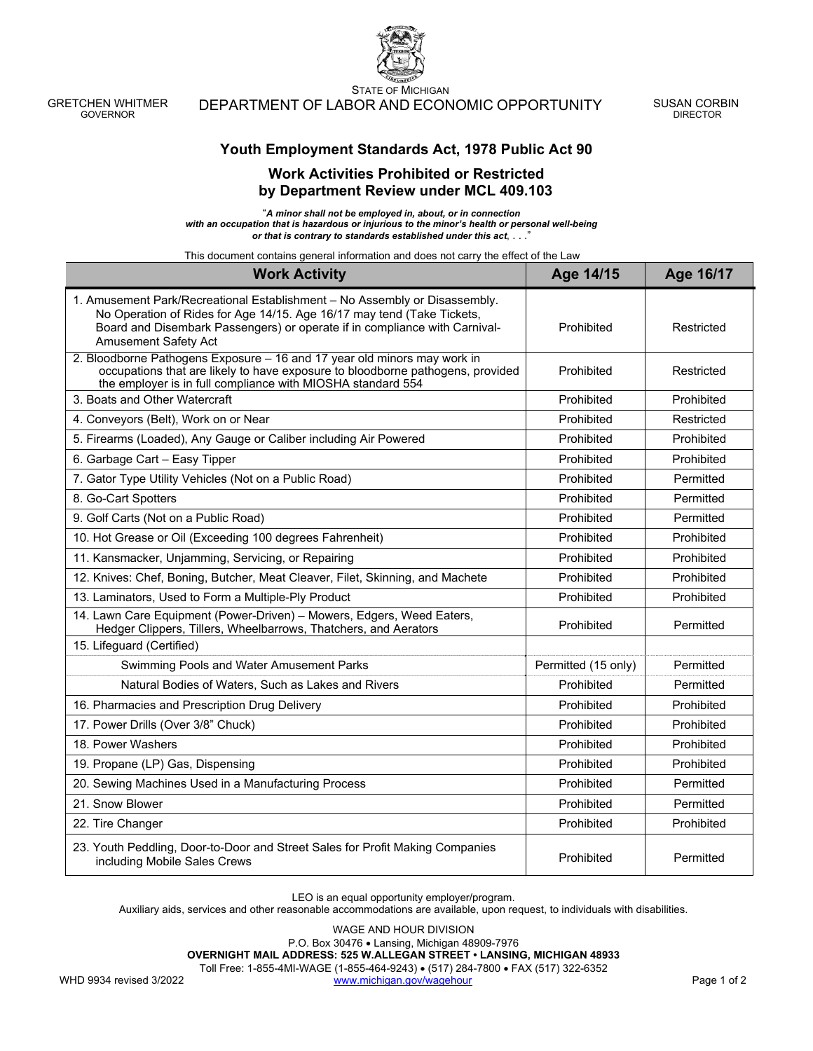GRETCHEN WHITMER GOVERNOR

STATE OF MICHIGAN DEPARTMENT OF LABOR AND ECONOMIC OPPORTUNITY SUSAN CORBIN

DIRECTOR

## **Work Activities Prohibited or Restricted by Department Review under MCL 409.103**

"*A minor shall not be employed in, about, or in connection with an occupation that is hazardous or injurious to the minor's health or personal well-being*  or that is contrary to standards established under this act, . . . <sup>"</sup>

This document contains general information and does not carry the effect of the Law

| <b>Work Activity</b>                                                                                                                                                                                                                                              | Age 14/15           | Age 16/17  |
|-------------------------------------------------------------------------------------------------------------------------------------------------------------------------------------------------------------------------------------------------------------------|---------------------|------------|
| 1. Amusement Park/Recreational Establishment - No Assembly or Disassembly.<br>No Operation of Rides for Age 14/15. Age 16/17 may tend (Take Tickets,<br>Board and Disembark Passengers) or operate if in compliance with Carnival-<br><b>Amusement Safety Act</b> | Prohibited          | Restricted |
| 2. Bloodborne Pathogens Exposure - 16 and 17 year old minors may work in<br>occupations that are likely to have exposure to bloodborne pathogens, provided<br>the employer is in full compliance with MIOSHA standard 554                                         | Prohibited          | Restricted |
| 3. Boats and Other Watercraft                                                                                                                                                                                                                                     | Prohibited          | Prohibited |
| 4. Conveyors (Belt), Work on or Near                                                                                                                                                                                                                              | Prohibited          | Restricted |
| 5. Firearms (Loaded), Any Gauge or Caliber including Air Powered                                                                                                                                                                                                  | Prohibited          | Prohibited |
| 6. Garbage Cart - Easy Tipper                                                                                                                                                                                                                                     | Prohibited          | Prohibited |
| 7. Gator Type Utility Vehicles (Not on a Public Road)                                                                                                                                                                                                             | Prohibited          | Permitted  |
| 8. Go-Cart Spotters                                                                                                                                                                                                                                               | Prohibited          | Permitted  |
| 9. Golf Carts (Not on a Public Road)                                                                                                                                                                                                                              | Prohibited          | Permitted  |
| 10. Hot Grease or Oil (Exceeding 100 degrees Fahrenheit)                                                                                                                                                                                                          | Prohibited          | Prohibited |
| 11. Kansmacker, Unjamming, Servicing, or Repairing                                                                                                                                                                                                                | Prohibited          | Prohibited |
| 12. Knives: Chef, Boning, Butcher, Meat Cleaver, Filet, Skinning, and Machete                                                                                                                                                                                     | Prohibited          | Prohibited |
| 13. Laminators, Used to Form a Multiple-Ply Product                                                                                                                                                                                                               | Prohibited          | Prohibited |
| 14. Lawn Care Equipment (Power-Driven) - Mowers, Edgers, Weed Eaters,<br>Hedger Clippers, Tillers, Wheelbarrows, Thatchers, and Aerators                                                                                                                          | Prohibited          | Permitted  |
| 15. Lifeguard (Certified)                                                                                                                                                                                                                                         |                     |            |
| Swimming Pools and Water Amusement Parks                                                                                                                                                                                                                          | Permitted (15 only) | Permitted  |
| Natural Bodies of Waters, Such as Lakes and Rivers                                                                                                                                                                                                                | Prohibited          | Permitted  |
| 16. Pharmacies and Prescription Drug Delivery                                                                                                                                                                                                                     | Prohibited          | Prohibited |
| 17. Power Drills (Over 3/8" Chuck)                                                                                                                                                                                                                                | Prohibited          | Prohibited |
| 18. Power Washers                                                                                                                                                                                                                                                 | Prohibited          | Prohibited |
| 19. Propane (LP) Gas, Dispensing                                                                                                                                                                                                                                  | Prohibited          | Prohibited |
| 20. Sewing Machines Used in a Manufacturing Process                                                                                                                                                                                                               | Prohibited          | Permitted  |
| 21. Snow Blower                                                                                                                                                                                                                                                   | Prohibited          | Permitted  |
| 22. Tire Changer                                                                                                                                                                                                                                                  | Prohibited          | Prohibited |
| 23. Youth Peddling, Door-to-Door and Street Sales for Profit Making Companies<br>including Mobile Sales Crews                                                                                                                                                     | Prohibited          | Permitted  |

LEO is an equal opportunity employer/program.

Auxiliary aids, services and other reasonable accommodations are available, upon request, to individuals with disabilities.

WAGE AND HOUR DIVISION

P.O. Box 30476 Lansing, Michigan 48909-7976

**OVERNIGHT MAIL ADDRESS: 525 W.ALLEGAN STREET • LANSING, MICHIGAN 48933**

Toll Free: 1-855-4MI-WAGE (1-855-464-9243) • (517) 284-7800 • FAX (517) 322-6352

WHD 9934 revised 3/2022 www.michigan.gov/wagehour Page 1 of 2